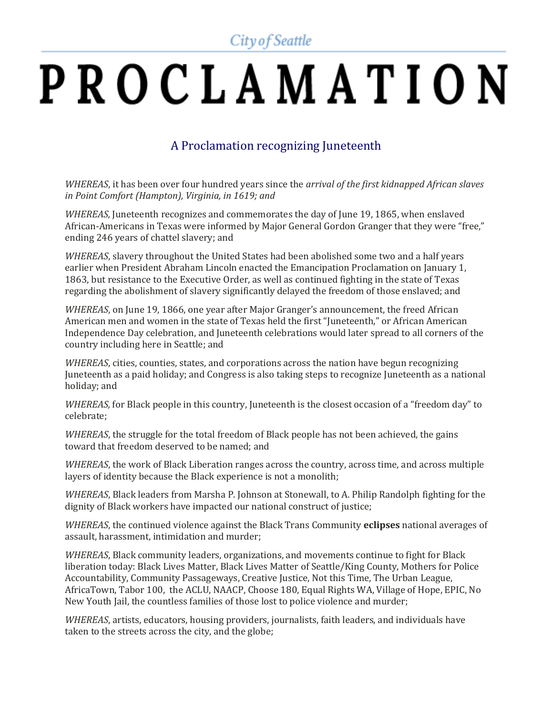City of Seattle

## PROCLAMATION

## A Proclamation recognizing Juneteenth

*WHEREAS*, it has been over four hundred years since the *arrival of the first kidnapped African slaves in Point Comfort (Hampton), Virginia, in 1619; and*

*WHEREAS,* Juneteenth recognizes and commemorates the day of June 19, 1865, when enslaved African-Americans in Texas were informed by Major General Gordon Granger that they were "free," ending 246 years of chattel slavery; and

*WHEREAS*, slavery throughout the United States had been abolished some two and a half years earlier when President Abraham Lincoln enacted the Emancipation Proclamation on January 1, 1863, but resistance to the Executive Order, as well as continued fighting in the state of Texas regarding the abolishment of slavery significantly delayed the freedom of those enslaved; and

*WHEREAS*, on June 19, 1866, one year after Major Granger's announcement, the freed African American men and women in the state of Texas held the first "Juneteenth," or African American Independence Day celebration, and Juneteenth celebrations would later spread to all corners of the country including here in Seattle; and

*WHEREAS*, cities, counties, states, and corporations across the nation have begun recognizing Juneteenth as a paid holiday; and Congress is also taking steps to recognize Juneteenth as a national holiday; and

*WHEREAS, for Black people in this country, Juneteenth is the closest occasion of a "freedom day" to* celebrate;

*WHEREAS*, the struggle for the total freedom of Black people has not been achieved, the gains toward that freedom deserved to be named; and

*WHEREAS*, the work of Black Liberation ranges across the country, across time, and across multiple layers of identity because the Black experience is not a monolith;

*WHEREAS*, Black leaders from Marsha P. Johnson at Stonewall, to A. Philip Randolph fighting for the dignity of Black workers have impacted our national construct of justice;

*WHEREAS*, the continued violence against the Black Trans Community **eclipses** national averages of assault, harassment, intimidation and murder;

*WHEREAS*, Black community leaders, organizations, and movements continue to fight for Black liberation today: Black Lives Matter, Black Lives Matter of Seattle/King County, Mothers for Police Accountability, Community Passageways, Creative Justice, Not this Time, The Urban League, AfricaTown, Tabor 100, the ACLU, NAACP, Choose 180, Equal Rights WA, Village of Hope, EPIC, No New Youth Jail, the countless families of those lost to police violence and murder;

*WHEREAS*, artists, educators, housing providers, journalists, faith leaders, and individuals have taken to the streets across the city, and the globe;